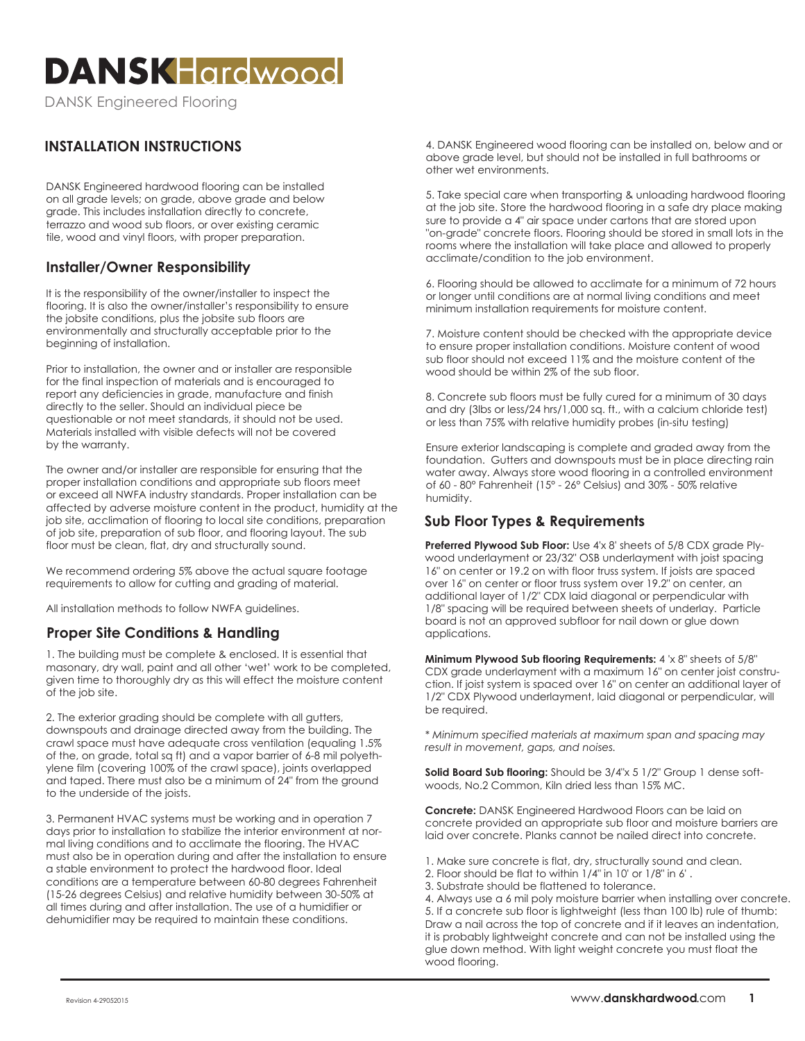# **DANSKHardwood**

DANSK Engineered Flooring

# **INSTALLATION INSTRUCTIONS**

DANSK Engineered hardwood flooring can be installed on all grade levels; on grade, above grade and below grade. This includes installation directly to concrete, terrazzo and wood sub floors, or over existing ceramic tile, wood and vinyl floors, with proper preparation.

### **Installer/Owner Responsibility**

It is the responsibility of the owner/installer to inspect the flooring. It is also the owner/installer's responsibility to ensure the jobsite conditions, plus the jobsite sub floors are environmentally and structurally acceptable prior to the beginning of installation.

Prior to installation, the owner and or installer are responsible for the final inspection of materials and is encouraged to report any deficiencies in grade, manufacture and finish directly to the seller. Should an individual piece be questionable or not meet standards, it should not be used. Materials installed with visible defects will not be covered by the warranty.

The owner and/or installer are responsible for ensuring that the proper installation conditions and appropriate sub floors meet or exceed all NWFA industry standards. Proper installation can be affected by adverse moisture content in the product, humidity at the job site, acclimation of flooring to local site conditions, preparation of job site, preparation of sub floor, and flooring layout. The sub floor must be clean, flat, dry and structurally sound.

We recommend ordering 5% above the actual square footage requirements to allow for cutting and grading of material.

All installation methods to follow NWFA guidelines.

# **Proper Site Conditions & Handling**

1. The building must be complete & enclosed. It is essential that masonary, dry wall, paint and all other 'wet' work to be completed, given time to thoroughly dry as this will effect the moisture content of the job site.

2. The exterior grading should be complete with all gutters, downspouts and drainage directed away from the building. The crawl space must have adequate cross ventilation (equaling 1.5% of the, on grade, total sq ft) and a vapor barrier of 6-8 mil polyethylene film (covering 100% of the crawl space), joints overlapped and taped. There must also be a minimum of 24" from the ground to the underside of the joists.

3. Permanent HVAC systems must be working and in operation 7 days prior to installation to stabilize the interior environment at normal living conditions and to acclimate the flooring. The HVAC must also be in operation during and after the installation to ensure a stable environment to protect the hardwood floor. Ideal conditions are a temperature between 60-80 degrees Fahrenheit (15-26 degrees Celsius) and relative humidity between 30-50% at all times during and after installation. The use of a humidifier or dehumidifier may be required to maintain these conditions.

4. DANSK Engineered wood flooring can be installed on, below and or above grade level, but should not be installed in full bathrooms or other wet environments.

5. Take special care when transporting & unloading hardwood flooring at the job site. Store the hardwood flooring in a safe dry place making sure to provide a 4" air space under cartons that are stored upon "on-grade" concrete floors. Flooring should be stored in small lots in the rooms where the installation will take place and allowed to properly acclimate/condition to the job environment.

6. Flooring should be allowed to acclimate for a minimum of 72 hours or longer until conditions are at normal living conditions and meet minimum installation requirements for moisture content.

7. Moisture content should be checked with the appropriate device to ensure proper installation conditions. Moisture content of wood sub floor should not exceed 11% and the moisture content of the wood should be within 2% of the sub floor.

8. Concrete sub floors must be fully cured for a minimum of 30 days and dry (3lbs or less/24 hrs/1,000 sq. ft., with a calcium chloride test) or less than 75% with relative humidity probes (in-situ testing)

Ensure exterior landscaping is complete and graded away from the foundation. Gutters and downspouts must be in place directing rain water away. Always store wood flooring in a controlled environment of 60 - 80° Fahrenheit (15° - 26° Celsius) and 30% - 50% relative humidity.

## **Sub Floor Types & Requirements**

**Preferred Plywood Sub Floor:** Use 4'x 8' sheets of 5/8 CDX grade Plywood underlayment or 23/32" OSB underlayment with joist spacing 16" on center or 19.2 on with floor truss system. If joists are spaced over 16" on center or floor truss system over 19.2" on center, an additional layer of 1/2" CDX laid diagonal or perpendicular with 1/8" spacing will be required between sheets of underlay. Particle board is not an approved subfloor for nail down or glue down applications.

**Minimum Plywood Sub flooring Requirements:** 4 'x 8" sheets of 5/8" CDX grade underlayment with a maximum 16" on center joist construction. If joist system is spaced over 16" on center an additional layer of 1/2" CDX Plywood underlayment, laid diagonal or perpendicular, will be required.

*\* Minimum specified materials at maximum span and spacing may result in movement, gaps, and noises.*

**Solid Board Sub flooring:** Should be 3/4"x 5 1/2" Group 1 dense softwoods, No.2 Common, Kiln dried less than 15% MC.

**Concrete:** DANSK Engineered Hardwood Floors can be laid on concrete provided an appropriate sub floor and moisture barriers are laid over concrete. Planks cannot be nailed direct into concrete.

- 1. Make sure concrete is flat, dry, structurally sound and clean.
- 2. Floor should be flat to within 1/4" in 10' or 1/8" in 6' .
- 3. Substrate should be flattened to tolerance.

4. Always use a 6 mil poly moisture barrier when installing over concrete. 5. If a concrete sub floor is lightweight (less than 100 lb) rule of thumb: Draw a nail across the top of concrete and if it leaves an indentation, it is probably lightweight concrete and can not be installed using the glue down method. With light weight concrete you must float the wood flooring.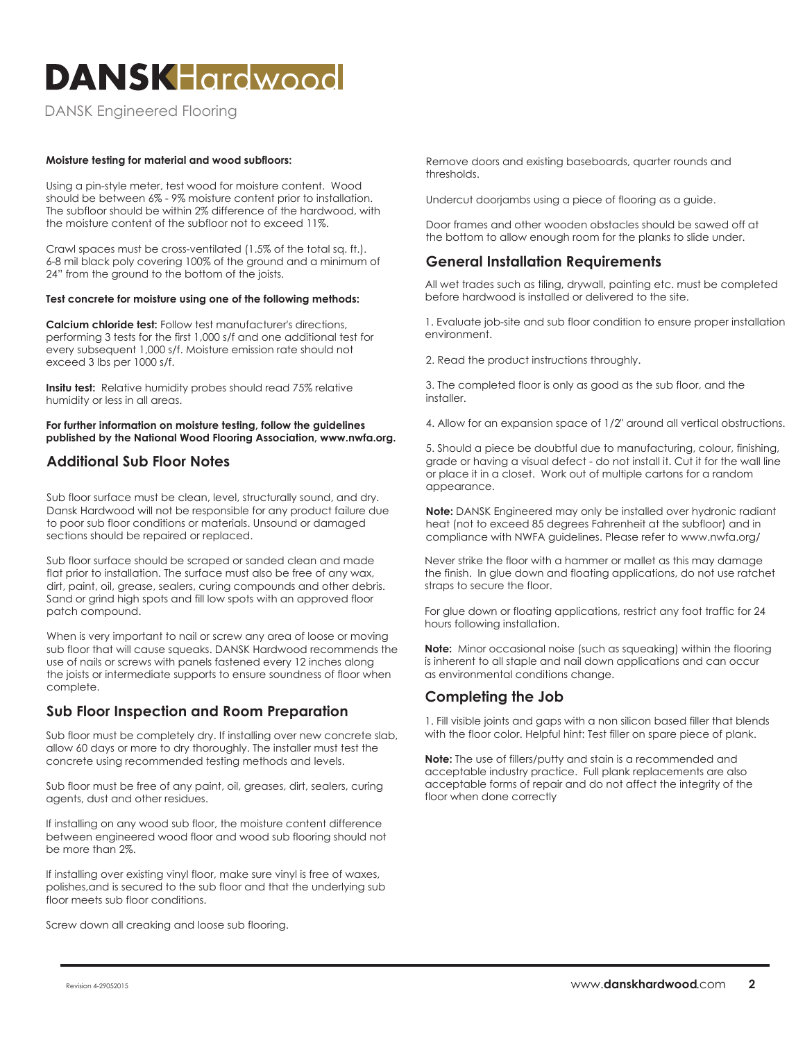# **DANSKHardwood**

DANSK Engineered Flooring

#### **Moisture testing for material and wood subfloors:**

Using a pin-style meter, test wood for moisture content. Wood should be between 6% - 9% moisture content prior to installation. The subfloor should be within 2% difference of the hardwood, with the moisture content of the subfloor not to exceed 11%.

Crawl spaces must be cross-ventilated (1.5% of the total sq. ft.). 6-8 mil black poly covering 100% of the ground and a minimum of 24" from the ground to the bottom of the joists.

#### **Test concrete for moisture using one of the following methods:**

**Calcium chloride test:** Follow test manufacturer's directions, performing 3 tests for the first 1,000 s/f and one additional test for every subsequent 1,000 s/f. Moisture emission rate should not exceed 3 lbs per 1000 s/f.

**Insitu test:** Relative humidity probes should read 75% relative humidity or less in all areas.

**For further information on moisture testing, follow the guidelines published by the National Wood Flooring Association, www.nwfa.org.**

### **Additional Sub Floor Notes**

Sub floor surface must be clean, level, structurally sound, and dry. Dansk Hardwood will not be responsible for any product failure due to poor sub floor conditions or materials. Unsound or damaged sections should be repaired or replaced.

Sub floor surface should be scraped or sanded clean and made flat prior to installation. The surface must also be free of any wax, dirt, paint, oil, grease, sealers, curing compounds and other debris. Sand or grind high spots and fill low spots with an approved floor patch compound.

When is very important to nail or screw any area of loose or moving sub floor that will cause squeaks. DANSK Hardwood recommends the use of nails or screws with panels fastened every 12 inches along the joists or intermediate supports to ensure soundness of floor when complete.

#### **Sub Floor Inspection and Room Preparation**

Sub floor must be completely dry. If installing over new concrete slab, allow 60 days or more to dry thoroughly. The installer must test the concrete using recommended testing methods and levels.

Sub floor must be free of any paint, oil, greases, dirt, sealers, curing agents, dust and other residues.

If installing on any wood sub floor, the moisture content difference between engineered wood floor and wood sub flooring should not be more than 2%.

If installing over existing vinyl floor, make sure vinyl is free of waxes, polishes,and is secured to the sub floor and that the underlying sub floor meets sub floor conditions.

Screw down all creaking and loose sub flooring.

Remove doors and existing baseboards, quarter rounds and thresholds.

Undercut doorjambs using a piece of flooring as a guide.

Door frames and other wooden obstacles should be sawed off at the bottom to allow enough room for the planks to slide under.

#### **General Installation Requirements**

All wet trades such as tiling, drywall, painting etc. must be completed before hardwood is installed or delivered to the site.

1. Evaluate job-site and sub floor condition to ensure proper installation environment.

2. Read the product instructions throughly.

3. The completed floor is only as good as the sub floor, and the installer.

4. Allow for an expansion space of 1/2" around all vertical obstructions.

5. Should a piece be doubtful due to manufacturing, colour, finishing, grade or having a visual defect - do not install it. Cut it for the wall line or place it in a closet. Work out of multiple cartons for a random appearance.

**Note:** DANSK Engineered may only be installed over hydronic radiant heat (not to exceed 85 degrees Fahrenheit at the subfloor) and in compliance with NWFA guidelines. Please refer to www.nwfa.org/

Never strike the floor with a hammer or mallet as this may damage the finish. In glue down and floating applications, do not use ratchet straps to secure the floor.

For glue down or floating applications, restrict any foot traffic for 24 hours following installation.

**Note:** Minor occasional noise (such as squeaking) within the flooring is inherent to all staple and nail down applications and can occur as environmental conditions change.

## **Completing the Job**

1. Fill visible joints and gaps with a non silicon based filler that blends with the floor color. Helpful hint: Test filler on spare piece of plank.

**Note:** The use of fillers/putty and stain is a recommended and acceptable industry practice. Full plank replacements are also acceptable forms of repair and do not affect the integrity of the floor when done correctly